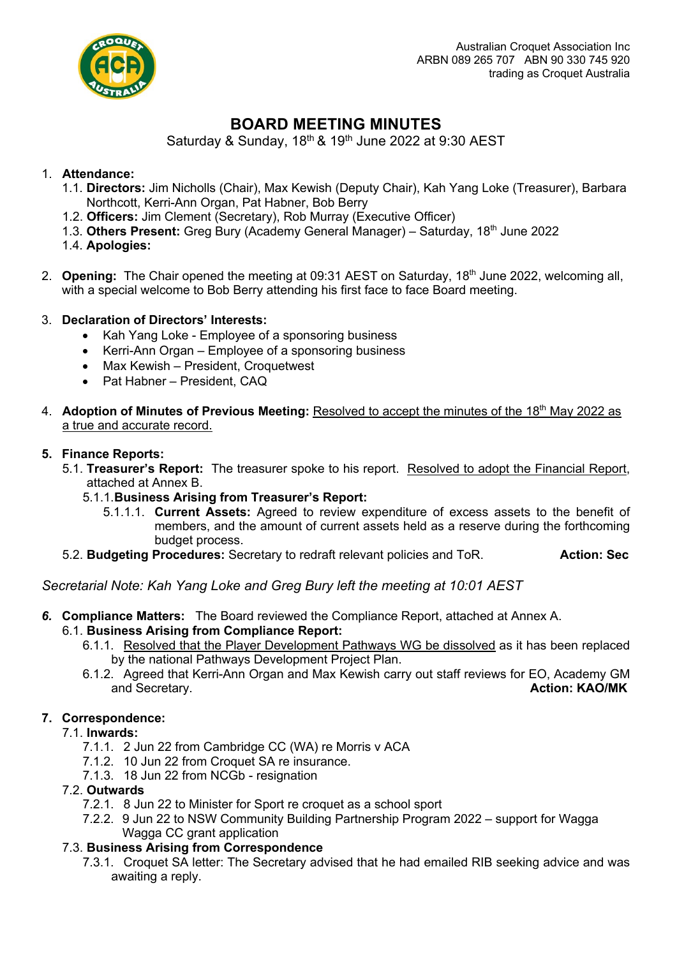

# **BOARD MEETING MINUTES**

Saturday & Sunday,  $18<sup>th</sup>$  &  $19<sup>th</sup>$  June 2022 at 9:30 AEST

# 1. **Attendance:**

- 1.1. **Directors:** Jim Nicholls (Chair), Max Kewish (Deputy Chair), Kah Yang Loke (Treasurer), Barbara Northcott, Kerri-Ann Organ, Pat Habner, Bob Berry
- 1.2. **Officers:** Jim Clement (Secretary), Rob Murray (Executive Officer)
- 1.3. **Others Present:** Greg Bury (Academy General Manager) Saturday, 18th June 2022
- 1.4. **Apologies:**
- 2. **Opening:** The Chair opened the meeting at 09:31 AEST on Saturday, 18<sup>th</sup> June 2022, welcoming all, with a special welcome to Bob Berry attending his first face to face Board meeting.

# 3. **Declaration of Directors' Interests:**

- Kah Yang Loke Employee of a sponsoring business
- Kerri-Ann Organ Employee of a sponsoring business
- Max Kewish President, Croquetwest
- Pat Habner President, CAQ
- 4. **Adoption of Minutes of Previous Meeting:** Resolved to accept the minutes of the 18<sup>th</sup> May 2022 as a true and accurate record.

## **5. Finance Reports:**

- 5.1. **Treasurer's Report:** The treasurer spoke to his report. Resolved to adopt the Financial Report, attached at Annex B.
	- 5.1.1.**Business Arising from Treasurer's Report:**
		- 5.1.1.1. **Current Assets:** Agreed to review expenditure of excess assets to the benefit of members, and the amount of current assets held as a reserve during the forthcoming budget process.
- 5.2. **Budgeting Procedures:** Secretary to redraft relevant policies and ToR. **Action: Sec**

# *Secretarial Note: Kah Yang Loke and Greg Bury left the meeting at 10:01 AEST*

*6.* **Compliance Matters:** The Board reviewed the Compliance Report, attached at Annex A.

## 6.1. **Business Arising from Compliance Report:**

- 6.1.1. Resolved that the Player Development Pathways WG be dissolved as it has been replaced by the national Pathways Development Project Plan.
- 6.1.2. Agreed that Kerri-Ann Organ and Max Kewish carry out staff reviews for EO, Academy GM and Secretary. **Action: KAO/MK**

# **7. Correspondence:**

- 7.1. **Inwards:** 
	- 7.1.1. 2 Jun 22 from Cambridge CC (WA) re Morris v ACA
	- 7.1.2. 10 Jun 22 from Croquet SA re insurance.
	- 7.1.3. 18 Jun 22 from NCGb resignation

# 7.2. **Outwards**

- 7.2.1. 8 Jun 22 to Minister for Sport re croquet as a school sport
- 7.2.2. 9 Jun 22 to NSW Community Building Partnership Program 2022 support for Wagga Wagga CC grant application

# 7.3. **Business Arising from Correspondence**

7.3.1. Croquet SA letter: The Secretary advised that he had emailed RIB seeking advice and was awaiting a reply.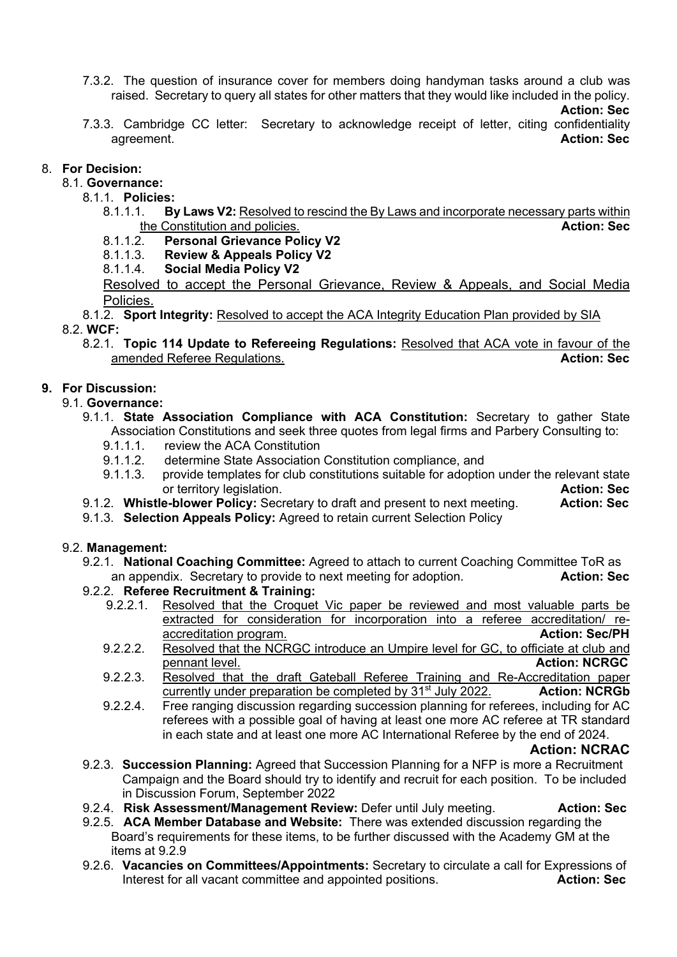7.3.2. The question of insurance cover for members doing handyman tasks around a club was raised. Secretary to query all states for other matters that they would like included in the policy.

#### **Action: Sec**

7.3.3. Cambridge CC letter: Secretary to acknowledge receipt of letter, citing confidentiality agreement. **Action: Sec**

## 8. **For Decision:**

- 8.1. **Governance:**
	- 8.1.1. **Policies:** 
		- 8.1.1.1. **By Laws V2:** Resolved to rescind the By Laws and incorporate necessary parts within the Constitution and policies. **Action: Sec**
		- 8.1.1.2. **Personal Grievance Policy V2**
		- **Review & Appeals Policy V2**
		- 8.1.1.4. **Social Media Policy V2**

Resolved to accept the Personal Grievance, Review & Appeals, and Social Media Policies.

- 8.1.2. **Sport Integrity:** Resolved to accept the ACA Integrity Education Plan provided by SIA 8.2. **WCF:**
	- 8.2.1. **Topic 114 Update to Refereeing Regulations:** Resolved that ACA vote in favour of the amended Referee Regulations. **Action: Sec** Action: Sec

# **9. For Discussion:**

### 9.1. **Governance:**

- 9.1.1. **State Association Compliance with ACA Constitution:** Secretary to gather State Association Constitutions and seek three quotes from legal firms and Parbery Consulting to:
	- 9.1.1.1. review the ACA Constitution
	- 9.1.1.2. determine State Association Constitution compliance, and
	- 9.1.1.3. provide templates for club constitutions suitable for adoption under the relevant state or territory legislation. **Action: Sec**
- 9.1.2. **Whistle-blower Policy:** Secretary to draft and present to next meeting. **Action: Sec**
- 9.1.3. **Selection Appeals Policy:** Agreed to retain current Selection Policy

### 9.2. **Management:**

- 9.2.1. **National Coaching Committee:** Agreed to attach to current Coaching Committee ToR as an appendix. Secretary to provide to next meeting for adoption. **Action: Sec**
- 9.2.2. **Referee Recruitment & Training:**
	- 9.2.2.1. Resolved that the Croquet Vic paper be reviewed and most valuable parts be extracted for consideration for incorporation into a referee accreditation/ reaccreditation program. **Action: Sec/PH**
	- 9.2.2.2. Resolved that the NCRGC introduce an Umpire level for GC, to officiate at club and pennant level. **Action: NCRGC** pennant level.
	- 9.2.2.3. Resolved that the draft Gateball Referee Training and Re-Accreditation paper currently under preparation be completed by 31st July 2022. **Action: NCRGb**
	- 9.2.2.4. Free ranging discussion regarding succession planning for referees, including for AC referees with a possible goal of having at least one more AC referee at TR standard in each state and at least one more AC International Referee by the end of 2024.

**Action: NCRAC**

- 9.2.3. **Succession Planning:** Agreed that Succession Planning for a NFP is more a Recruitment Campaign and the Board should try to identify and recruit for each position. To be included in Discussion Forum, September 2022
- 9.2.4. **Risk Assessment/Management Review:** Defer until July meeting. **Action: Sec**
- 9.2.5. **ACA Member Database and Website:** There was extended discussion regarding the Board's requirements for these items, to be further discussed with the Academy GM at the items at 9.2.9
- 9.2.6. **Vacancies on Committees/Appointments:** Secretary to circulate a call for Expressions of Interest for all vacant committee and appointed positions. **Action: Sec**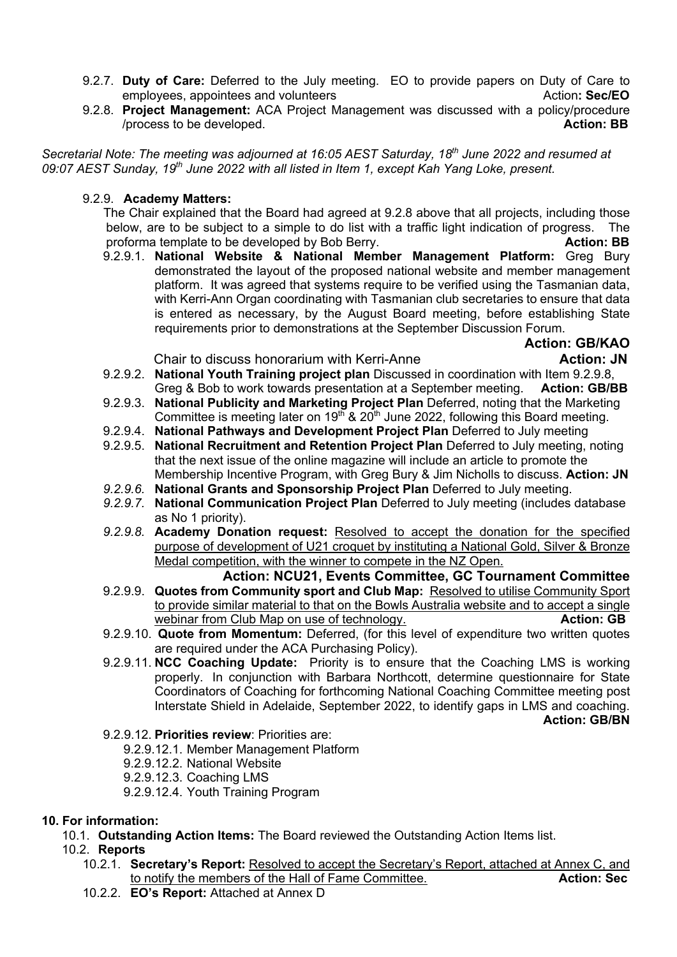- 9.2.7. **Duty of Care:** Deferred to the July meeting. EO to provide papers on Duty of Care to employees, appointees and volunteers **Action**: Sec/EO
- 9.2.8. **Project Management:** ACA Project Management was discussed with a policy/procedure /process to be developed. **Action: BB**

*Secretarial Note: The meeting was adjourned at 16:05 AEST Saturday, 18th June 2022 and resumed at 09:07 AEST Sunday, 19th June 2022 with all listed in Item 1, except Kah Yang Loke, present.*

## 9.2.9. **Academy Matters:**

The Chair explained that the Board had agreed at 9.2.8 above that all projects, including those below, are to be subject to a simple to do list with a traffic light indication of progress. The proforma template to be developed by Bob Berry. **Action: BB** Action: BB

9.2.9.1. **National Website & National Member Management Platform:** Greg Bury demonstrated the layout of the proposed national website and member management platform. It was agreed that systems require to be verified using the Tasmanian data, with Kerri-Ann Organ coordinating with Tasmanian club secretaries to ensure that data is entered as necessary, by the August Board meeting, before establishing State requirements prior to demonstrations at the September Discussion Forum.

# **Action: GB/KAO**

### Chair to discuss honorarium with Kerri-Anne **Action: JN Action: JN**

- 9.2.9.2. **National Youth Training project plan** Discussed in coordination with Item 9.2.9.8, Greg & Bob to work towards presentation at a September meeting. **Action: GB/BB**
- 9.2.9.3. **National Publicity and Marketing Project Plan** Deferred, noting that the Marketing Committee is meeting later on  $19^{th}$  &  $20^{th}$  June 2022, following this Board meeting.
- 9.2.9.4. **National Pathways and Development Project Plan** Deferred to July meeting
- 9.2.9.5. **National Recruitment and Retention Project Plan** Deferred to July meeting, noting that the next issue of the online magazine will include an article to promote the Membership Incentive Program, with Greg Bury & Jim Nicholls to discuss. **Action: JN**
- *9.2.9.6.* **National Grants and Sponsorship Project Plan** Deferred to July meeting.
- *9.2.9.7.* **National Communication Project Plan** Deferred to July meeting (includes database as No 1 priority).
- *9.2.9.8.* **Academy Donation request:** Resolved to accept the donation for the specified purpose of development of U21 croquet by instituting a National Gold, Silver & Bronze Medal competition, with the winner to compete in the NZ Open.

#### **Action: NCU21, Events Committee, GC Tournament Committee** 9.2.9.9. **Quotes from Community sport and Club Map:** Resolved to utilise Community Sport to provide similar material to that on the Bowls Australia website and to accept a single webinar from Club Map on use of technology. **Action: GB**

- 9.2.9.10. **Quote from Momentum:** Deferred, (for this level of expenditure two written quotes are required under the ACA Purchasing Policy).
- 9.2.9.11. **NCC Coaching Update:** Priority is to ensure that the Coaching LMS is working properly. In conjunction with Barbara Northcott, determine questionnaire for State Coordinators of Coaching for forthcoming National Coaching Committee meeting post Interstate Shield in Adelaide, September 2022, to identify gaps in LMS and coaching.

**Action: GB/BN**

- 9.2.9.12. **Priorities review**: Priorities are:
	- 9.2.9.12.1. Member Management Platform
	- 9.2.9.12.2. National Website
	- 9.2.9.12.3. Coaching LMS
	- 9.2.9.12.4. Youth Training Program

### **10. For information:**

- 10.1. **Outstanding Action Items:** The Board reviewed the Outstanding Action Items list.
- 10.2. **Reports**
	- 10.2.1. **Secretary's Report:** Resolved to accept the Secretary's Report, attached at Annex C, and to notify the members of the Hall of Fame Committee. **Action: Sec** Action: Sec
	- 10.2.2. **EO's Report:** Attached at Annex D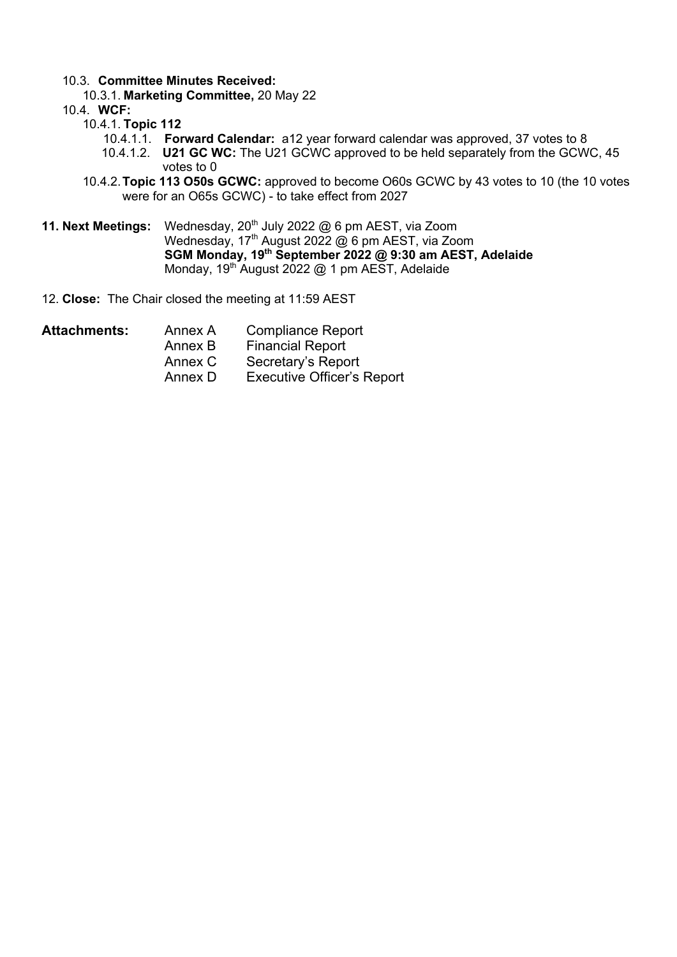## 10.3. **Committee Minutes Received:**

10.3.1. **Marketing Committee,** 20 May 22

10.4. **WCF:**

- 10.4.1. **Topic 112**
	- 10.4.1.1. **Forward Calendar:** a12 year forward calendar was approved, 37 votes to 8
	- 10.4.1.2. **U21 GC WC:** The U21 GCWC approved to be held separately from the GCWC, 45 votes to 0
- 10.4.2.**Topic 113 O50s GCWC:** approved to become O60s GCWC by 43 votes to 10 (the 10 votes were for an O65s GCWC) - to take effect from 2027
- **11. Next Meetings:** Wednesday, 20<sup>th</sup> July 2022 @ 6 pm AEST, via Zoom Wednesday, 17<sup>th</sup> August 2022 @ 6 pm AEST, via Zoom **SGM Monday, 19th September 2022 @ 9:30 am AEST, Adelaide** Monday,  $19^{th}$  August 2022 @ 1 pm AEST, Adelaide
- 12. **Close:** The Chair closed the meeting at 11:59 AEST
- Attachments: Annex A Compliance Report Annex B Financial Report Annex C Secretary's Report Annex D Executive Officer's Report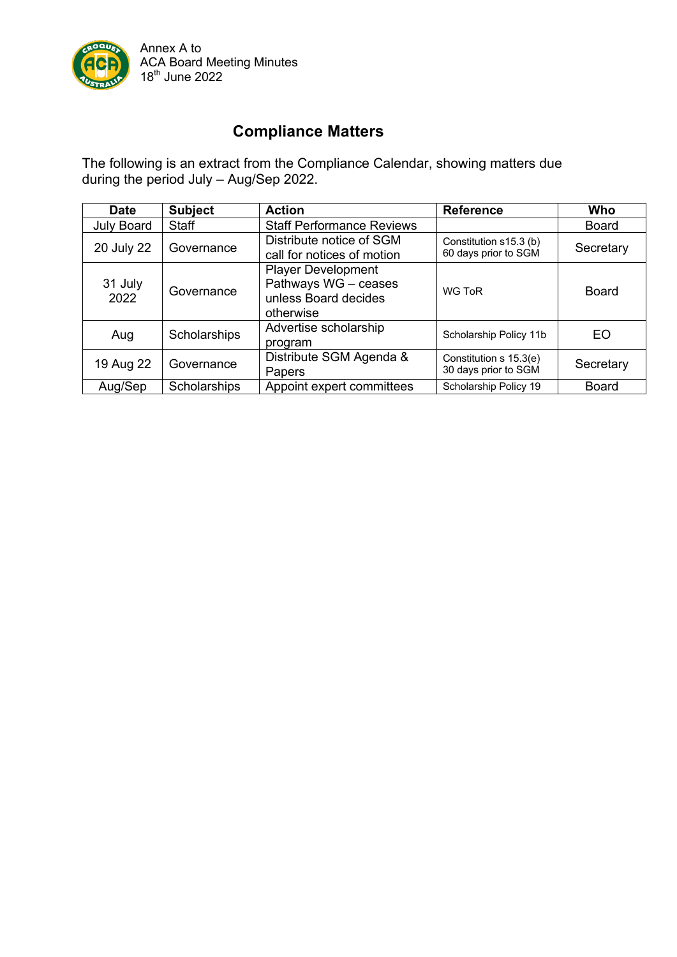

# **Compliance Matters**

The following is an extract from the Compliance Calendar, showing matters due during the period July – Aug/Sep 2022.

| <b>Date</b>     | <b>Subject</b> | <b>Action</b>                                                                          | <b>Reference</b>                               | Who          |
|-----------------|----------------|----------------------------------------------------------------------------------------|------------------------------------------------|--------------|
| July Board      | Staff          | <b>Staff Performance Reviews</b>                                                       |                                                | <b>Board</b> |
| 20 July 22      | Governance     | Distribute notice of SGM<br>call for notices of motion                                 | Constitution s15.3 (b)<br>60 days prior to SGM | Secretary    |
| 31 July<br>2022 | Governance     | <b>Player Development</b><br>Pathways WG - ceases<br>unless Board decides<br>otherwise | WG ToR                                         | Board        |
| Aug             | Scholarships   | Advertise scholarship<br>program                                                       | Scholarship Policy 11b                         | EO           |
| 19 Aug 22       | Governance     | Distribute SGM Agenda &<br>Papers                                                      | Constitution s 15.3(e)<br>30 days prior to SGM | Secretary    |
| Aug/Sep         | Scholarships   | Appoint expert committees                                                              | Scholarship Policy 19                          | <b>Board</b> |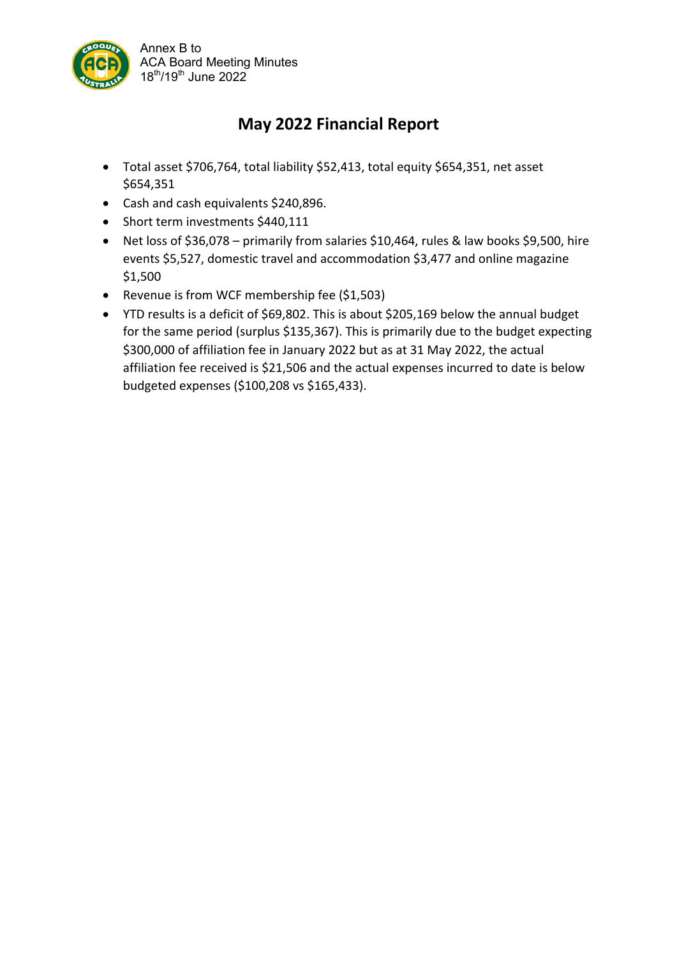

# **May 2022 Financial Report**

- Total asset \$706,764, total liability \$52,413, total equity \$654,351, net asset \$654,351
- Cash and cash equivalents \$240,896.
- Short term investments \$440,111
- Net loss of \$36,078 primarily from salaries \$10,464, rules & law books \$9,500, hire events \$5,527, domestic travel and accommodation \$3,477 and online magazine \$1,500
- Revenue is from WCF membership fee (\$1,503)
- YTD results is a deficit of \$69,802. This is about \$205,169 below the annual budget for the same period (surplus \$135,367). This is primarily due to the budget expecting \$300,000 of affiliation fee in January 2022 but as at 31 May 2022, the actual affiliation fee received is \$21,506 and the actual expenses incurred to date is below budgeted expenses (\$100,208 vs \$165,433).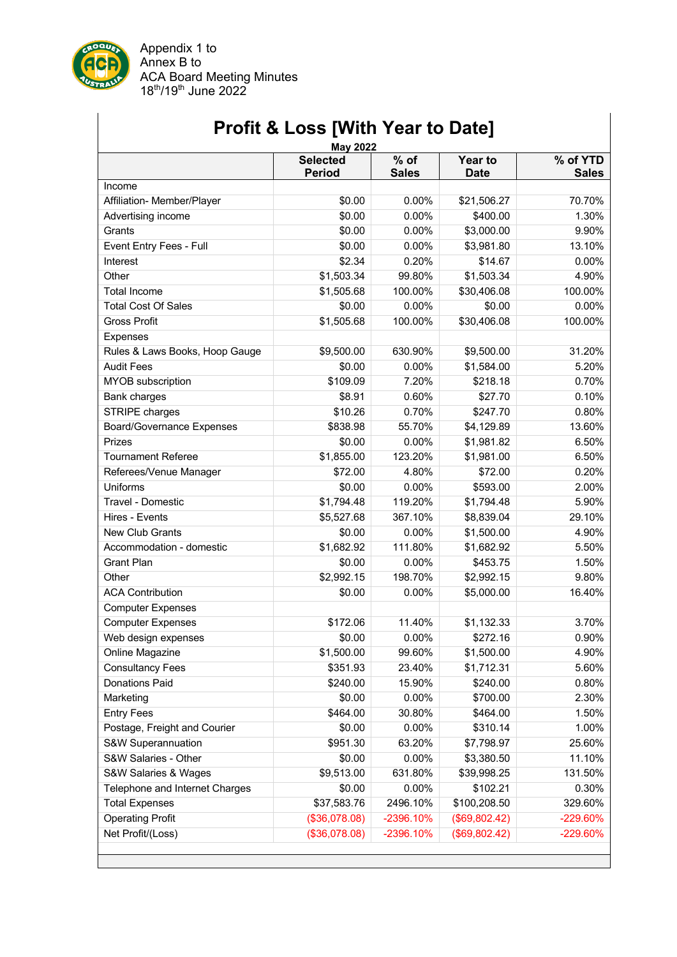

Appendix 1 to Annex B to ACA Board Meeting Minutes 18th/19th June 2022

|                                  | <b>May 2022</b><br><b>Selected</b> | $%$ of       | <b>Year to</b> | % of YTD     |
|----------------------------------|------------------------------------|--------------|----------------|--------------|
|                                  | <b>Period</b>                      | <b>Sales</b> | <b>Date</b>    | <b>Sales</b> |
| Income                           |                                    |              |                |              |
| Affiliation- Member/Player       | \$0.00                             | 0.00%        | \$21,506.27    | 70.70%       |
| Advertising income               | \$0.00                             | 0.00%        | \$400.00       | 1.30%        |
| Grants                           | \$0.00                             | 0.00%        | \$3,000.00     | 9.90%        |
| Event Entry Fees - Full          | \$0.00                             | 0.00%        | \$3,981.80     | 13.10%       |
| Interest                         | \$2.34                             | 0.20%        | \$14.67        | 0.00%        |
| Other                            | \$1,503.34                         | 99.80%       | \$1,503.34     | 4.90%        |
| <b>Total Income</b>              | \$1,505.68                         | 100.00%      | \$30,406.08    | 100.00%      |
| <b>Total Cost Of Sales</b>       | \$0.00                             | 0.00%        | \$0.00         | 0.00%        |
| <b>Gross Profit</b>              | \$1,505.68                         | 100.00%      | \$30,406.08    | 100.00%      |
| <b>Expenses</b>                  |                                    |              |                |              |
| Rules & Laws Books, Hoop Gauge   | \$9,500.00                         | 630.90%      | \$9,500.00     | 31.20%       |
| <b>Audit Fees</b>                | \$0.00                             | $0.00\%$     | \$1,584.00     | 5.20%        |
| MYOB subscription                | \$109.09                           | 7.20%        | \$218.18       | 0.70%        |
| <b>Bank charges</b>              | \$8.91                             | 0.60%        | \$27.70        | 0.10%        |
| STRIPE charges                   | \$10.26                            | 0.70%        | \$247.70       | 0.80%        |
| <b>Board/Governance Expenses</b> | \$838.98                           | 55.70%       | \$4,129.89     | 13.60%       |
| Prizes                           | \$0.00                             | 0.00%        | \$1,981.82     | 6.50%        |
| <b>Tournament Referee</b>        | \$1,855.00                         | 123.20%      | \$1,981.00     | 6.50%        |
| Referees/Venue Manager           | \$72.00                            | 4.80%        | \$72.00        | 0.20%        |
| Uniforms                         | \$0.00                             | 0.00%        | \$593.00       | 2.00%        |
| Travel - Domestic                | \$1,794.48                         | 119.20%      | \$1,794.48     | 5.90%        |
| Hires - Events                   | \$5,527.68                         | 367.10%      | \$8,839.04     | 29.10%       |
| <b>New Club Grants</b>           | \$0.00                             | 0.00%        | \$1,500.00     | 4.90%        |
| Accommodation - domestic         | \$1,682.92                         | 111.80%      | \$1,682.92     | 5.50%        |
| <b>Grant Plan</b>                | \$0.00                             | 0.00%        | \$453.75       | 1.50%        |
| Other                            | \$2,992.15                         | 198.70%      | \$2,992.15     | 9.80%        |
| <b>ACA Contribution</b>          | \$0.00                             | 0.00%        | \$5,000.00     | 16.40%       |
| <b>Computer Expenses</b>         |                                    |              |                |              |
| <b>Computer Expenses</b>         | \$172.06                           | 11.40%       | \$1,132.33     | 3.70%        |
| Web design expenses              | \$0.00                             | 0.00%        | \$272.16       | 0.90%        |
| Online Magazine                  | \$1,500.00                         | 99.60%       | \$1,500.00     | 4.90%        |
| <b>Consultancy Fees</b>          | \$351.93                           | 23.40%       | \$1,712.31     | 5.60%        |
| <b>Donations Paid</b>            | \$240.00                           | 15.90%       | \$240.00       | 0.80%        |
| Marketing                        | \$0.00                             | 0.00%        | \$700.00       | 2.30%        |
| <b>Entry Fees</b>                | \$464.00                           | 30.80%       | \$464.00       | 1.50%        |
| Postage, Freight and Courier     | \$0.00                             | 0.00%        | \$310.14       | 1.00%        |
| S&W Superannuation               | \$951.30                           | 63.20%       | \$7,798.97     | 25.60%       |
| S&W Salaries - Other             | \$0.00                             | 0.00%        | \$3,380.50     | 11.10%       |
| S&W Salaries & Wages             | \$9,513.00                         | 631.80%      | \$39,998.25    | 131.50%      |
| Telephone and Internet Charges   | \$0.00                             | 0.00%        | \$102.21       | 0.30%        |
| <b>Total Expenses</b>            | \$37,583.76                        | 2496.10%     | \$100,208.50   | 329.60%      |
| <b>Operating Profit</b>          | (\$36,078.08)                      | -2396.10%    | (\$69,802.42)  | -229.60%     |
| Net Profit/(Loss)                | (\$36,078.08)                      | -2396.10%    | (\$69,802.42)  | -229.60%     |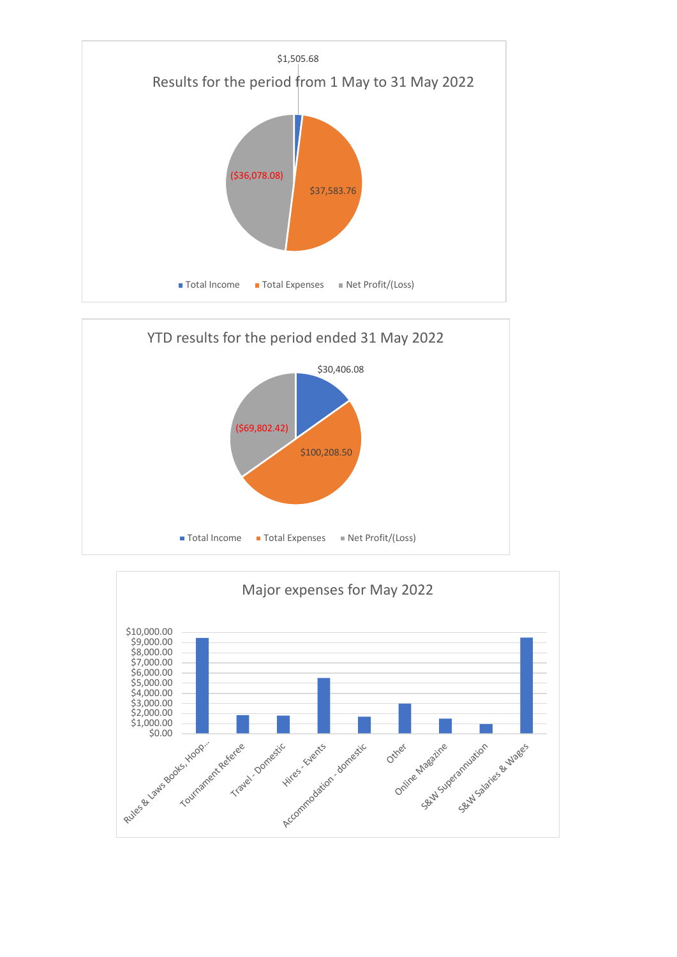



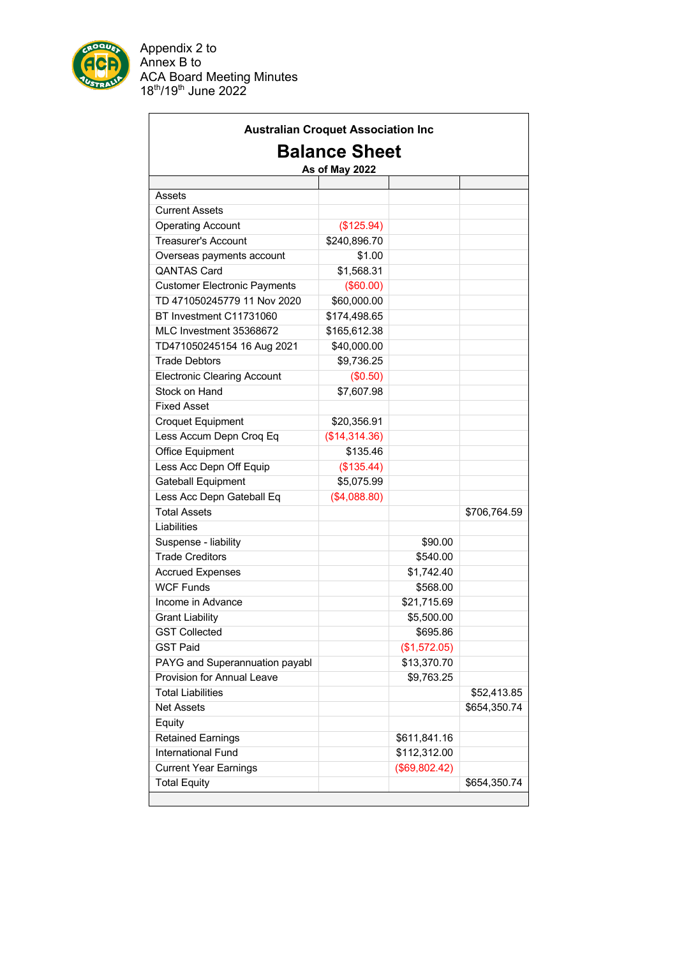

ċ

Appendix 2 to Annex B to ACA Board Meeting Minutes 18th/19th June 2022

| <b>Australian Croquet Association Inc</b> |               |               |              |  |  |  |  |
|-------------------------------------------|---------------|---------------|--------------|--|--|--|--|
| <b>Balance Sheet</b><br>As of May 2022    |               |               |              |  |  |  |  |
|                                           |               |               |              |  |  |  |  |
| Assets                                    |               |               |              |  |  |  |  |
| <b>Current Assets</b>                     |               |               |              |  |  |  |  |
| <b>Operating Account</b>                  | (\$125.94)    |               |              |  |  |  |  |
| <b>Treasurer's Account</b>                | \$240,896.70  |               |              |  |  |  |  |
| Overseas payments account                 | \$1.00        |               |              |  |  |  |  |
| <b>QANTAS Card</b>                        | \$1,568.31    |               |              |  |  |  |  |
| <b>Customer Electronic Payments</b>       | (\$60.00)     |               |              |  |  |  |  |
| TD 471050245779 11 Nov 2020               | \$60,000.00   |               |              |  |  |  |  |
| BT Investment C11731060                   | \$174,498.65  |               |              |  |  |  |  |
| MLC Investment 35368672                   | \$165,612.38  |               |              |  |  |  |  |
| TD471050245154 16 Aug 2021                | \$40,000.00   |               |              |  |  |  |  |
| <b>Trade Debtors</b>                      | \$9,736.25    |               |              |  |  |  |  |
| <b>Electronic Clearing Account</b>        | (\$0.50)      |               |              |  |  |  |  |
| Stock on Hand                             | \$7,607.98    |               |              |  |  |  |  |
| <b>Fixed Asset</b>                        |               |               |              |  |  |  |  |
| <b>Croquet Equipment</b>                  | \$20,356.91   |               |              |  |  |  |  |
| Less Accum Depn Croq Eq                   | (\$14,314.36) |               |              |  |  |  |  |
| <b>Office Equipment</b>                   | \$135.46      |               |              |  |  |  |  |
| Less Acc Depn Off Equip                   | (\$135.44)    |               |              |  |  |  |  |
| <b>Gateball Equipment</b>                 | \$5,075.99    |               |              |  |  |  |  |
| Less Acc Depn Gateball Eq                 | (\$4,088.80)  |               |              |  |  |  |  |
| <b>Total Assets</b>                       |               |               | \$706,764.59 |  |  |  |  |
| Liabilities                               |               |               |              |  |  |  |  |
| Suspense - liability                      |               | \$90.00       |              |  |  |  |  |
| <b>Trade Creditors</b>                    |               | \$540.00      |              |  |  |  |  |
| <b>Accrued Expenses</b>                   |               | \$1,742.40    |              |  |  |  |  |
| <b>WCF Funds</b>                          |               | \$568.00      |              |  |  |  |  |
| Income in Advance                         |               | \$21,715.69   |              |  |  |  |  |
| <b>Grant Liability</b>                    |               | \$5,500.00    |              |  |  |  |  |
| <b>GST Collected</b>                      |               | \$695.86      |              |  |  |  |  |
| <b>GST Paid</b>                           |               | (\$1,572.05)  |              |  |  |  |  |
| PAYG and Superannuation payabl            |               | \$13,370.70   |              |  |  |  |  |
| Provision for Annual Leave                |               | \$9,763.25    |              |  |  |  |  |
| <b>Total Liabilities</b>                  |               |               | \$52,413.85  |  |  |  |  |
| <b>Net Assets</b>                         |               |               | \$654,350.74 |  |  |  |  |
| Equity                                    |               |               |              |  |  |  |  |
| <b>Retained Earnings</b>                  |               | \$611,841.16  |              |  |  |  |  |
| <b>International Fund</b>                 |               | \$112,312.00  |              |  |  |  |  |
| <b>Current Year Earnings</b>              |               | (\$69,802.42) |              |  |  |  |  |
| <b>Total Equity</b>                       |               |               | \$654,350.74 |  |  |  |  |
|                                           |               |               |              |  |  |  |  |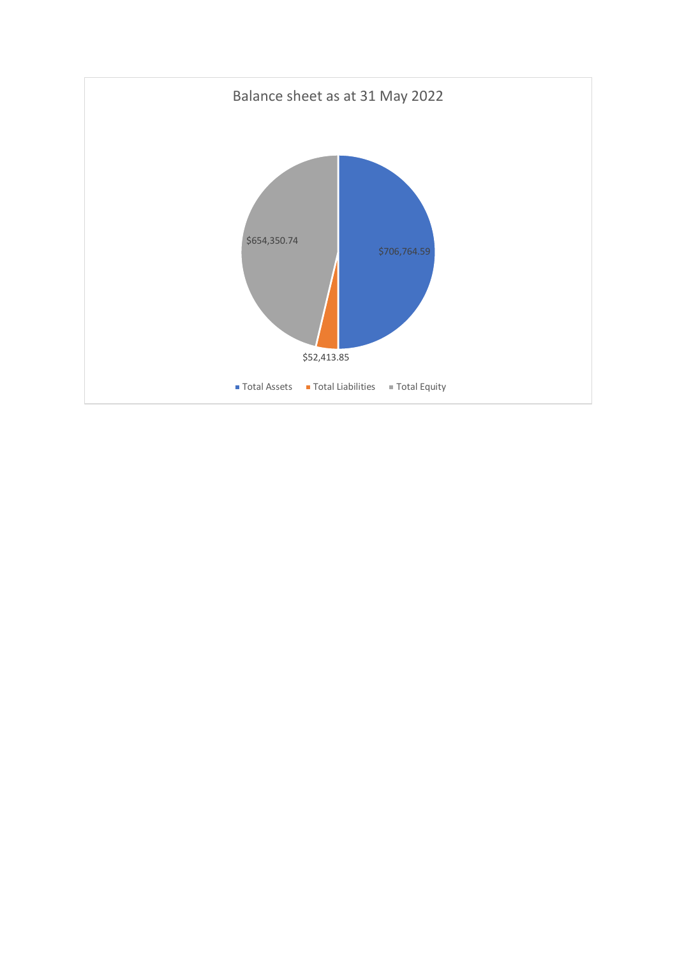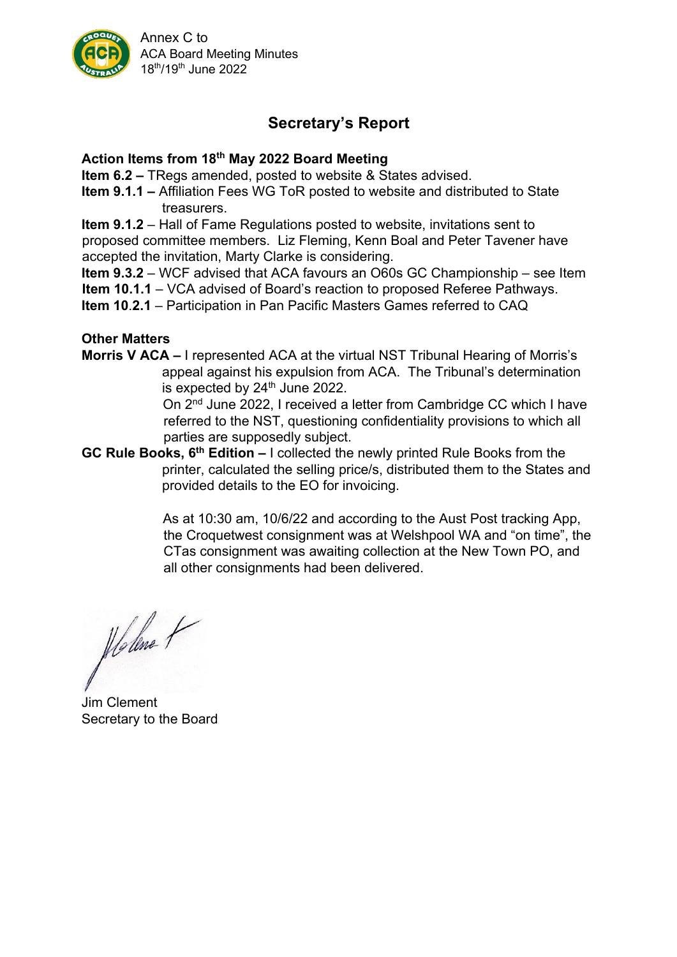

Annex C to ACA Board Meeting Minutes 18th/19th June 2022

# **Secretary's Report**

# **Action Items from 18th May 2022 Board Meeting**

**Item 6.2 –** TRegs amended, posted to website & States advised.

**Item 9.1.1 –** Affiliation Fees WG ToR posted to website and distributed to State treasurers.

**Item 9.1.2** – Hall of Fame Regulations posted to website, invitations sent to proposed committee members. Liz Fleming, Kenn Boal and Peter Tavener have accepted the invitation, Marty Clarke is considering.

**Item 9.3.2** – WCF advised that ACA favours an O60s GC Championship – see Item **Item 10.1.1** – VCA advised of Board's reaction to proposed Referee Pathways.

**Item 10**.**2.1** – Participation in Pan Pacific Masters Games referred to CAQ

# **Other Matters**

**Morris V ACA –** I represented ACA at the virtual NST Tribunal Hearing of Morris's appeal against his expulsion from ACA. The Tribunal's determination is expected by  $24<sup>th</sup>$  June 2022.

On 2nd June 2022, I received a letter from Cambridge CC which I have referred to the NST, questioning confidentiality provisions to which all parties are supposedly subject.

**GC Rule Books, 6th Edition –** I collected the newly printed Rule Books from the printer, calculated the selling price/s, distributed them to the States and provided details to the EO for invoicing.

> As at 10:30 am, 10/6/22 and according to the Aust Post tracking App, the Croquetwest consignment was at Welshpool WA and "on time", the CTas consignment was awaiting collection at the New Town PO, and all other consignments had been delivered.

Holme +

Jim Clement Secretary to the Board